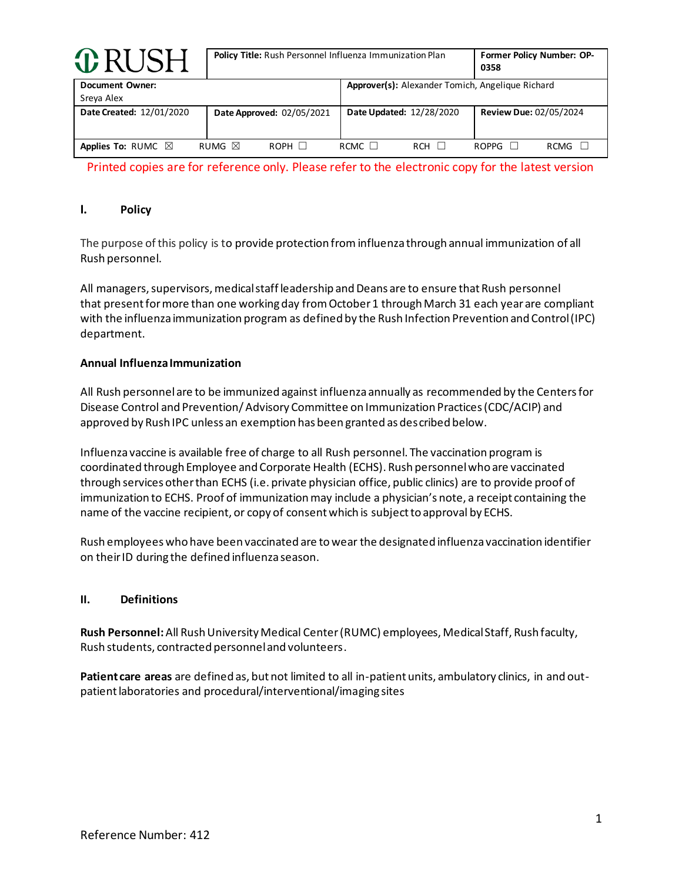| <b>O</b> RUSH                        | Policy Title: Rush Personnel Influenza Immunization Plan | Former Policy Number: OP-<br>0358                       |                               |
|--------------------------------------|----------------------------------------------------------|---------------------------------------------------------|-------------------------------|
| <b>Document Owner:</b><br>Sreya Alex |                                                          | <b>Approver(s):</b> Alexander Tomich, Angelique Richard |                               |
| Date Created: 12/01/2020             | Date Approved: 02/05/2021                                | Date Updated: 12/28/2020                                | <b>Review Due: 02/05/2024</b> |
| Applies To: RUMC $\boxtimes$         | RUMG $\boxtimes$<br>$ROPH$ $\Box$                        | RCMC $\Box$<br><b>RCH</b>                               | $ROPPG$ $\Box$<br><b>RCMG</b> |

Printed copies are for reference only. Please refer to the electronic copy for the latest version

## **I. Policy**

The purpose of this policy is to provide protection from influenza through annual immunization of all Rush personnel.

All managers, supervisors, medical staff leadership and Deans are to ensure that Rush personnel that present for more than one working day from October 1 through March 31 each year are compliant with the influenza immunization program as defined by the Rush Infection Prevention and Control (IPC) department.

### **Annual Influenza Immunization**

All Rush personnel are to be immunized against influenza annually as recommended by the Centers for Disease Control and Prevention/ Advisory Committee on Immunization Practices (CDC/ACIP) and approved by Rush IPC unless an exemption has been granted as described below.

Influenza vaccine is available free of charge to all Rush personnel. The vaccination program is coordinated through Employee and Corporate Health (ECHS). Rush personnel who are vaccinated through services other than ECHS (i.e. private physician office, public clinics) are to provide proof of immunization to ECHS. Proof of immunization may include a physician's note, a receipt containing the name of the vaccine recipient, or copy of consent which is subject to approval by ECHS.

Rush employees who have been vaccinated are to wear the designated influenza vaccination identifier on their ID during the defined influenza season.

### **II. Definitions**

**Rush Personnel:** All Rush University Medical Center (RUMC) employees, Medical Staff, Rush faculty, Rush students, contracted personnel and volunteers.

**Patient care areas** are defined as, but not limited to all in-patient units, ambulatory clinics, in and outpatient laboratories and procedural/interventional/imaging sites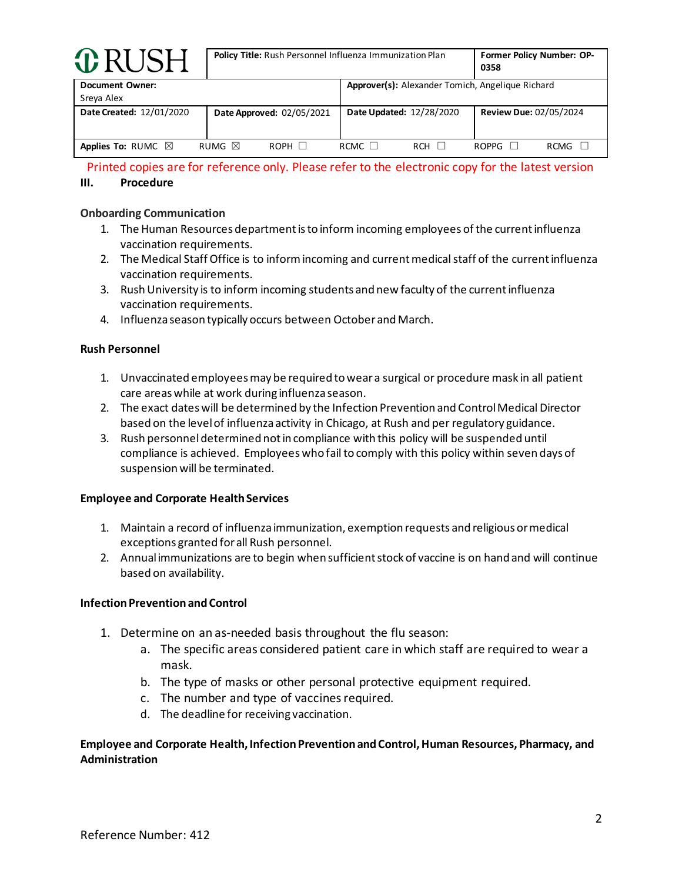| <b>O</b> RUSH                        |                  | <b>Policy Title:</b> Rush Personnel Influenza Immunization Plan |                          |                            |                                                  | <b>Former Policy Number: OP-</b><br>0358 |  |
|--------------------------------------|------------------|-----------------------------------------------------------------|--------------------------|----------------------------|--------------------------------------------------|------------------------------------------|--|
| <b>Document Owner:</b><br>Sreya Alex |                  |                                                                 |                          |                            | Approver(s): Alexander Tomich, Angelique Richard |                                          |  |
| Date Created: 12/01/2020             |                  | Date Approved: 02/05/2021                                       | Date Updated: 12/28/2020 |                            | <b>Review Due: 02/05/2024</b>                    |                                          |  |
| Applies To: RUMC $\boxtimes$         | RUMG $\boxtimes$ | $ROPH$ $\Box$                                                   | RCMC $\Box$              | <b>RCH</b><br>$\mathbf{1}$ | ROPPG                                            | RCMG                                     |  |

Printed copies are for reference only. Please refer to the electronic copy for the latest version

## **III. Procedure**

## **Onboarding Communication**

- 1. The Human Resources department is to inform incoming employees of the current influenza vaccination requirements.
- 2. The Medical Staff Office is to inform incoming and current medical staff of the current influenza vaccination requirements.
- 3. Rush University is to inform incoming students and new faculty of the current influenza vaccination requirements.
- 4. Influenza season typically occurs between October and March.

## **Rush Personnel**

- 1. Unvaccinated employeesmay be required to wear a surgical or procedure mask in all patient care areas while at work during influenza season.
- 2. The exact dates will be determined by the Infection Prevention and Control Medical Director based on the level of influenza activity in Chicago, at Rush and per regulatory guidance.
- 3. Rush personneldetermined not in compliance with this policy will be suspended until compliance is achieved. Employees who fail to comply with this policy within seven days of suspension will be terminated.

### **Employee and Corporate Health Services**

- 1. Maintain a record of influenza immunization, exemption requests and religious or medical exceptions granted for all Rush personnel.
- 2. Annual immunizations are to begin when sufficient stock of vaccine is on hand and will continue based on availability.

# **Infection Prevention and Control**

- 1. Determine on an as-needed basis throughout the flu season:
	- a. The specific areas considered patient care in which staff are required to wear a mask.
	- b. The type of masks or other personal protective equipment required.
	- c. The number and type of vaccines required.
	- d. The deadline for receiving vaccination.

# **Employee and Corporate Health, Infection Prevention and Control, Human Resources, Pharmacy, and Administration**